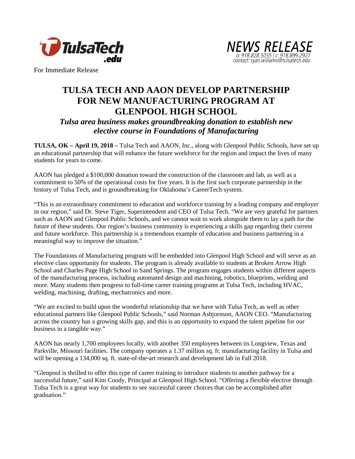



For Immediate Release

## **TULSA TECH AND AAON DEVELOP PARTNERSHIP FOR NEW MANUFACTURING PROGRAM AT GLENPOOL HIGH SCHOOL**

*Tulsa area business makes groundbreaking donation to establish new elective course in Foundations of Manufacturing*

**TULSA, OK – April 19, 2018 –** Tulsa Tech and AAON, Inc., along with Glenpool Public Schools, have set up an educational partnership that will enhance the future workforce for the region and impact the lives of many students for years to come.

AAON has pledged a \$100,000 donation toward the construction of the classroom and lab, as well as a commitment to 50% of the operational costs for five years. It is the first such corporate partnership in the history of Tulsa Tech, and is groundbreaking for Oklahoma's CareerTech system.

"This is an extraordinary commitment to education and workforce training by a leading company and employer in our region," said Dr. Steve Tiger, Superintendent and CEO of Tulsa Tech. "We are very grateful for partners such as AAON and Glenpool Public Schools, and we cannot wait to work alongside them to lay a path for the future of these students. Our region's business community is experiencing a skills gap regarding their current and future workforce. This partnership is a tremendous example of education and business partnering in a meaningful way to improve the situation."

The Foundations of Manufacturing program will be embedded into Glenpool High School and will serve as an elective class opportunity for students. The program is already available to students at Broken Arrow High School and Charles Page High School in Sand Springs. The program engages students within different aspects of the manufacturing process, including automated design and machining, robotics, blueprints, welding and more. Many students then progress to full-time career training programs at Tulsa Tech, including HVAC, welding, machining, drafting, mechatronics and more.

"We are excited to build upon the wonderful relationship that we have with Tulsa Tech, as well as other educational partners like Glenpool Public Schools," said Norman Asbjornson, AAON CEO. "Manufacturing across the country has a growing skills gap, and this is an opportunity to expand the talent pipeline for our business in a tangible way."

AAON has nearly 1,700 employees locally, with another 350 employees between its Longview, Texas and Parkville, Missouri facilities. The company operates a 1.37 million sq. ft. manufacturing facility in Tulsa and will be opening a 134,000 sq. ft. state-of-the-art research and development lab in Fall 2018.

"Glenpool is thrilled to offer this type of career training to introduce students to another pathway for a successful future," said Kim Coody, Principal at Glenpool High School. "Offering a flexible elective through Tulsa Tech is a great way for students to see successful career choices that can be accomplished after graduation."